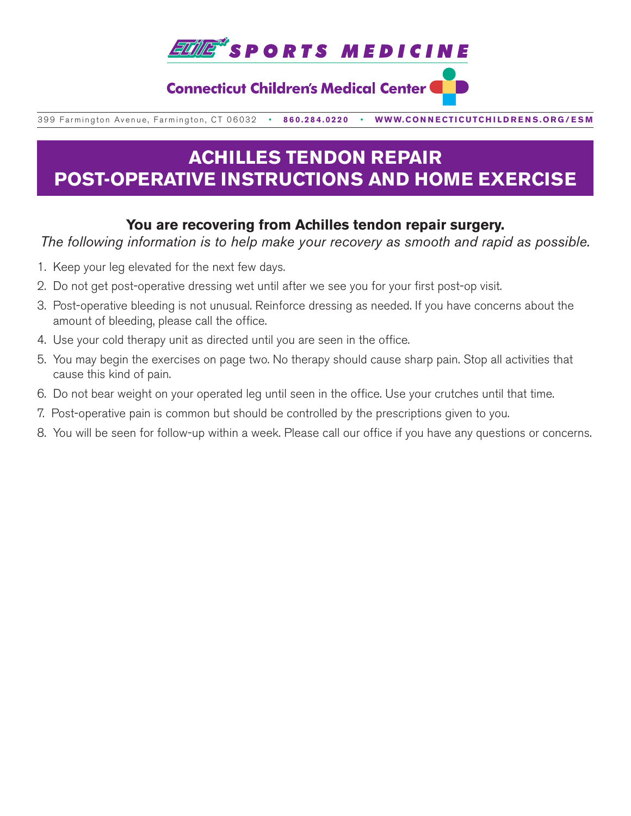

### **Connecticut Children's Medical Center (**

399 Farmington Avenue, Farmington, CT 06032•**860.284.0220**•**WWW.CONNECTICUTCHILDRENS.ORG/ESM**

# **ACHILLES TENDON REPAIR POST-OPERATIVE INSTRUCTIONS AND HOME EXERCISE**

### **You are recovering from Achilles tendon repair surgery.**

*The following information is to help make your recovery as smooth and rapid as possible.*

- 1. Keep your leg elevated for the next few days.
- 2. Do not get post-operative dressing wet until after we see you for your first post-op visit.
- 3. Post-operative bleeding is not unusual. Reinforce dressing as needed. If you have concerns about the amount of bleeding, please call the office.
- 4. Use your cold therapy unit as directed until you are seen in the office.
- 5. You may begin the exercises on page two. No therapy should cause sharp pain. Stop all activities that cause this kind of pain.
- 6. Do not bear weight on your operated leg until seen in the office. Use your crutches until that time.
- 7. Post-operative pain is common but should be controlled by the prescriptions given to you.
- 8. You will be seen for follow-up within a week. Please call our office if you have any questions or concerns.